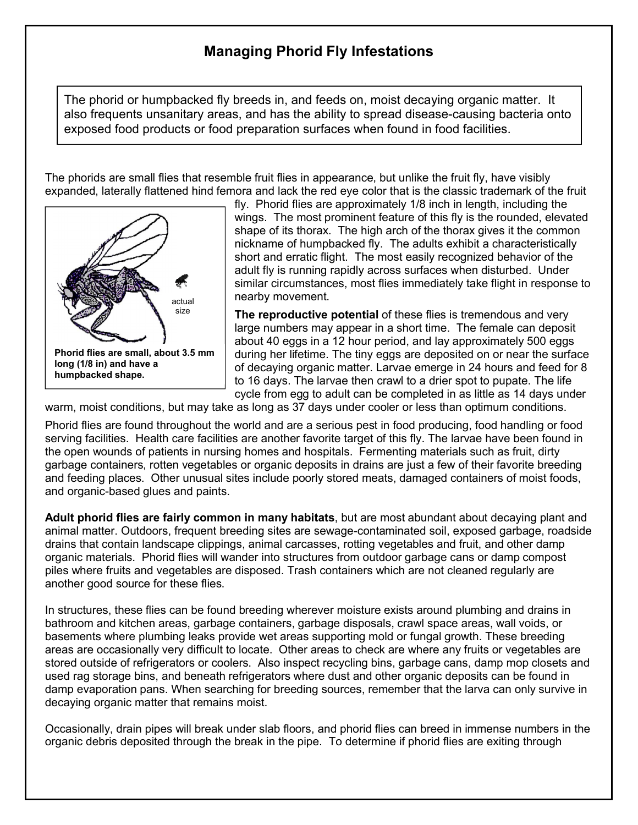## **Managing Phorid Fly Infestations**

The phorid or humpbacked fly breeds in, and feeds on, moist decaying organic matter. It also frequents unsanitary areas, and has the ability to spread disease-causing bacteria onto exposed food products or food preparation surfaces when found in food facilities.

The phorids are small flies that resemble fruit flies in appearance, but unlike the fruit fly, have visibly expanded, laterally flattened hind femora and lack the red eye color that is the classic trademark of the fruit



fly. Phorid flies are approximately 1/8 inch in length, including the wings. The most prominent feature of this fly is the rounded, elevated shape of its thorax. The high arch of the thorax gives it the common nickname of humpbacked fly. The adults exhibit a characteristically short and erratic flight. The most easily recognized behavior of the adult fly is running rapidly across surfaces when disturbed. Under similar circumstances, most flies immediately take flight in response to nearby movement.

**The reproductive potential** of these flies is tremendous and very large numbers may appear in a short time. The female can deposit about 40 eggs in a 12 hour period, and lay approximately 500 eggs during her lifetime. The tiny eggs are deposited on or near the surface of decaying organic matter. Larvae emerge in 24 hours and feed for 8 to 16 days. The larvae then crawl to a drier spot to pupate. The life cycle from egg to adult can be completed in as little as 14 days under

warm, moist conditions, but may take as long as 37 days under cooler or less than optimum conditions.

Phorid flies are found throughout the world and are a serious pest in food producing, food handling or food serving facilities. Health care facilities are another favorite target of this fly. The larvae have been found in the open wounds of patients in nursing homes and hospitals. Fermenting materials such as fruit, dirty garbage containers, rotten vegetables or organic deposits in drains are just a few of their favorite breeding and feeding places. Other unusual sites include poorly stored meats, damaged containers of moist foods, and organic-based glues and paints.

**Adult phorid flies are fairly common in many habitats**, but are most abundant about decaying plant and animal matter. Outdoors, frequent breeding sites are sewage-contaminated soil, exposed garbage, roadside drains that contain landscape clippings, animal carcasses, rotting vegetables and fruit, and other damp organic materials. Phorid flies will wander into structures from outdoor garbage cans or damp compost piles where fruits and vegetables are disposed. Trash containers which are not cleaned regularly are another good source for these flies.

In structures, these flies can be found breeding wherever moisture exists around plumbing and drains in bathroom and kitchen areas, garbage containers, garbage disposals, crawl space areas, wall voids, or basements where plumbing leaks provide wet areas supporting mold or fungal growth. These breeding areas are occasionally very difficult to locate. Other areas to check are where any fruits or vegetables are stored outside of refrigerators or coolers. Also inspect recycling bins, garbage cans, damp mop closets and used rag storage bins, and beneath refrigerators where dust and other organic deposits can be found in damp evaporation pans. When searching for breeding sources, remember that the larva can only survive in decaying organic matter that remains moist.

Occasionally, drain pipes will break under slab floors, and phorid flies can breed in immense numbers in the organic debris deposited through the break in the pipe. To determine if phorid flies are exiting through